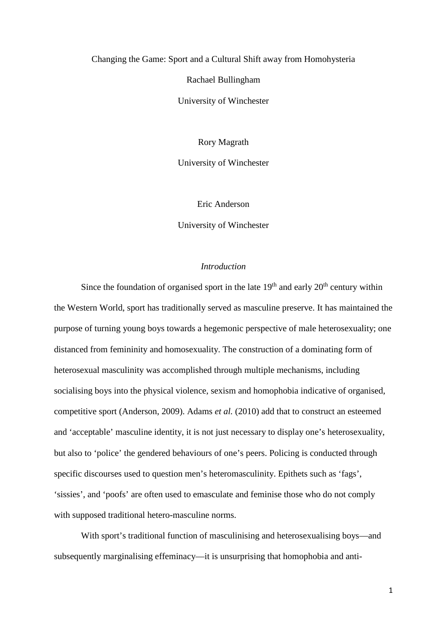# Changing the Game: Sport and a Cultural Shift away from Homohysteria Rachael Bullingham University of Winchester

Rory Magrath

University of Winchester

Eric Anderson

University of Winchester

## *Introduction*

Since the foundation of organised sport in the late  $19<sup>th</sup>$  and early  $20<sup>th</sup>$  century within the Western World, sport has traditionally served as masculine preserve. It has maintained the purpose of turning young boys towards a hegemonic perspective of male heterosexuality; one distanced from femininity and homosexuality. The construction of a dominating form of heterosexual masculinity was accomplished through multiple mechanisms, including socialising boys into the physical violence, sexism and homophobia indicative of organised, competitive sport (Anderson, 2009). Adams *et al.* (2010) add that to construct an esteemed and 'acceptable' masculine identity, it is not just necessary to display one's heterosexuality, but also to 'police' the gendered behaviours of one's peers. Policing is conducted through specific discourses used to question men's heteromasculinity. Epithets such as 'fags', 'sissies', and 'poofs' are often used to emasculate and feminise those who do not comply with supposed traditional hetero-masculine norms.

With sport's traditional function of masculinising and heterosexualising boys—and subsequently marginalising effeminacy—it is unsurprising that homophobia and anti-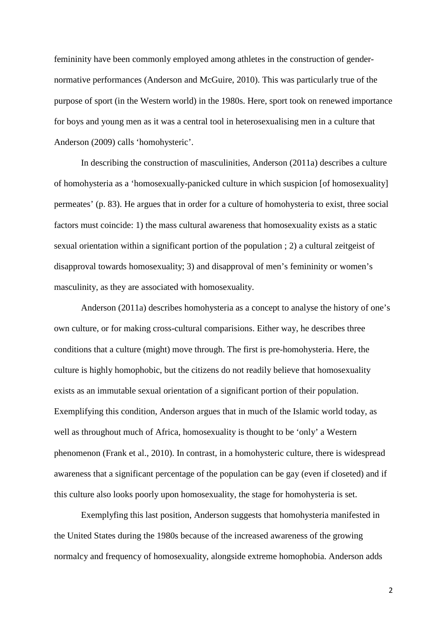femininity have been commonly employed among athletes in the construction of gendernormative performances (Anderson and McGuire, 2010). This was particularly true of the purpose of sport (in the Western world) in the 1980s. Here, sport took on renewed importance for boys and young men as it was a central tool in heterosexualising men in a culture that Anderson (2009) calls 'homohysteric'.

In describing the construction of masculinities, Anderson (2011a) describes a culture of homohysteria as a 'homosexually-panicked culture in which suspicion [of homosexuality] permeates' (p. 83). He argues that in order for a culture of homohysteria to exist, three social factors must coincide: 1) the mass cultural awareness that homosexuality exists as a static sexual orientation within a significant portion of the population ; 2) a cultural zeitgeist of disapproval towards homosexuality; 3) and disapproval of men's femininity or women's masculinity, as they are associated with homosexuality.

Anderson (2011a) describes homohysteria as a concept to analyse the history of one's own culture, or for making cross-cultural comparisions. Either way, he describes three conditions that a culture (might) move through. The first is pre-homohysteria. Here, the culture is highly homophobic, but the citizens do not readily believe that homosexuality exists as an immutable sexual orientation of a significant portion of their population. Exemplifying this condition, Anderson argues that in much of the Islamic world today, as well as throughout much of Africa, homosexuality is thought to be 'only' a Western phenomenon (Frank et al., 2010). In contrast, in a homohysteric culture, there is widespread awareness that a significant percentage of the population can be gay (even if closeted) and if this culture also looks poorly upon homosexuality, the stage for homohysteria is set.

Exemplyfing this last position, Anderson suggests that homohysteria manifested in the United States during the 1980s because of the increased awareness of the growing normalcy and frequency of homosexuality, alongside extreme homophobia. Anderson adds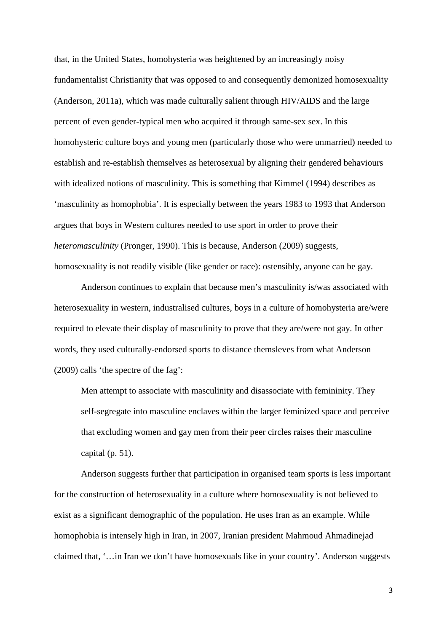that, in the United States, homohysteria was heightened by an increasingly noisy fundamentalist Christianity that was opposed to and consequently demonized homosexuality (Anderson, 2011a), which was made culturally salient through HIV/AIDS and the large percent of even gender-typical men who acquired it through same-sex sex. In this homohysteric culture boys and young men (particularly those who were unmarried) needed to establish and re-establish themselves as heterosexual by aligning their gendered behaviours with idealized notions of masculinity. This is something that Kimmel (1994) describes as 'masculinity as homophobia'. It is especially between the years 1983 to 1993 that Anderson argues that boys in Western cultures needed to use sport in order to prove their *heteromasculinity* (Pronger, 1990). This is because, Anderson (2009) suggests, homosexuality is not readily visible (like gender or race): ostensibly, anyone can be gay.

Anderson continues to explain that because men's masculinity is/was associated with heterosexuality in western, industralised cultures, boys in a culture of homohysteria are/were required to elevate their display of masculinity to prove that they are/were not gay. In other words, they used culturally-endorsed sports to distance themsleves from what Anderson (2009) calls 'the spectre of the fag':

Men attempt to associate with masculinity and disassociate with femininity. They self-segregate into masculine enclaves within the larger feminized space and perceive that excluding women and gay men from their peer circles raises their masculine capital (p. 51).

Anderson suggests further that participation in organised team sports is less important for the construction of heterosexuality in a culture where homosexuality is not believed to exist as a significant demographic of the population. He uses Iran as an example. While homophobia is intensely high in Iran, in 2007, Iranian president Mahmoud Ahmadinejad claimed that, '…in Iran we don't have homosexuals like in your country'. Anderson suggests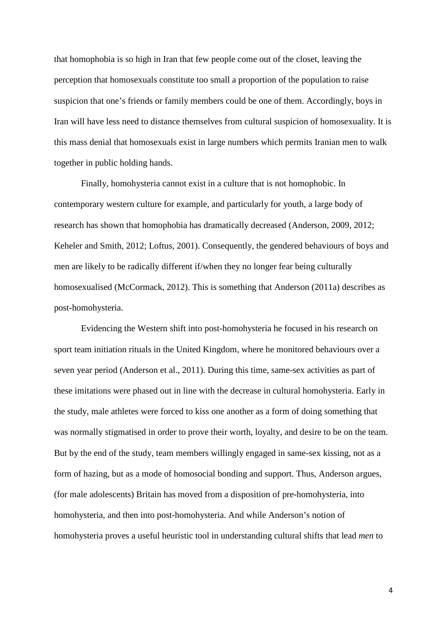that homophobia is so high in Iran that few people come out of the closet, leaving the perception that homosexuals constitute too small a proportion of the population to raise suspicion that one's friends or family members could be one of them. Accordingly, boys in Iran will have less need to distance themselves from cultural suspicion of homosexuality. It is this mass denial that homosexuals exist in large numbers which permits Iranian men to walk together in public holding hands.

Finally, homohysteria cannot exist in a culture that is not homophobic. In contemporary western culture for example, and particularly for youth, a large body of research has shown that homophobia has dramatically decreased (Anderson, 2009, 2012; Keheler and Smith, 2012; Loftus, 2001). Consequently, the gendered behaviours of boys and men are likely to be radically different if/when they no longer fear being culturally homosexualised (McCormack, 2012). This is something that Anderson (2011a) describes as post-homohysteria.

Evidencing the Western shift into post-homohysteria he focused in his research on sport team initiation rituals in the United Kingdom, where he monitored behaviours over a seven year period (Anderson et al., 2011). During this time, same-sex activities as part of these imitations were phased out in line with the decrease in cultural homohysteria. Early in the study, male athletes were forced to kiss one another as a form of doing something that was normally stigmatised in order to prove their worth, loyalty, and desire to be on the team. But by the end of the study, team members willingly engaged in same-sex kissing, not as a form of hazing, but as a mode of homosocial bonding and support. Thus, Anderson argues, (for male adolescents) Britain has moved from a disposition of pre-homohysteria, into homohysteria, and then into post-homohysteria. And while Anderson's notion of homohysteria proves a useful heuristic tool in understanding cultural shifts that lead *men* to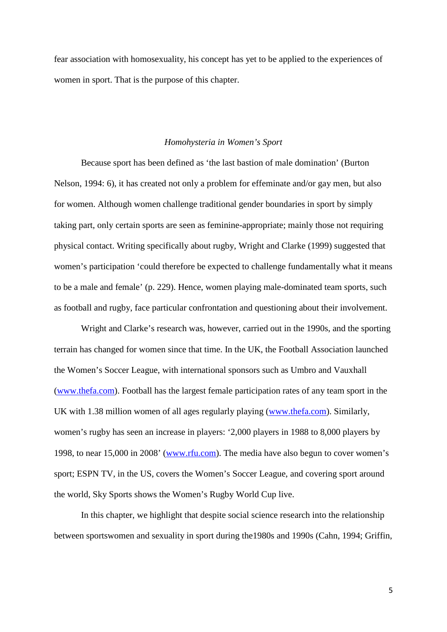fear association with homosexuality, his concept has yet to be applied to the experiences of women in sport. That is the purpose of this chapter.

#### *Homohysteria in Women's Sport*

Because sport has been defined as 'the last bastion of male domination' (Burton Nelson, 1994: 6), it has created not only a problem for effeminate and/or gay men, but also for women. Although women challenge traditional gender boundaries in sport by simply taking part, only certain sports are seen as feminine-appropriate; mainly those not requiring physical contact. Writing specifically about rugby, Wright and Clarke (1999) suggested that women's participation 'could therefore be expected to challenge fundamentally what it means to be a male and female' (p. 229). Hence, women playing male-dominated team sports, such as football and rugby, face particular confrontation and questioning about their involvement.

Wright and Clarke's research was, however, carried out in the 1990s, and the sporting terrain has changed for women since that time. In the UK, the Football Association launched the Women's Soccer League, with international sponsors such as Umbro and Vauxhall [\(www.thefa.com\)](http://www.thefa.com/). Football has the largest female participation rates of any team sport in the UK with 1.38 million women of all ages regularly playing [\(www.thefa.com\)](http://www.thefa.com/). Similarly, women's rugby has seen an increase in players: '2,000 players in 1988 to 8,000 players by 1998, to near 15,000 in 2008' [\(www.rfu.com\)](http://www.rfu.com/). The media have also begun to cover women's sport; ESPN TV, in the US, covers the Women's Soccer League, and covering sport around the world, Sky Sports shows the Women's Rugby World Cup live.

In this chapter, we highlight that despite social science research into the relationship between sportswomen and sexuality in sport during the1980s and 1990s (Cahn, 1994; Griffin,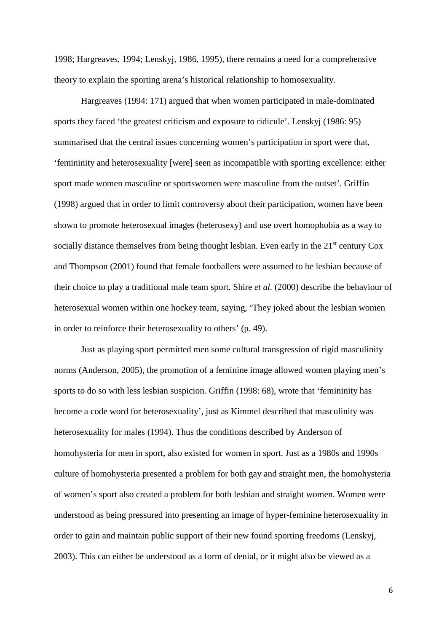1998; Hargreaves, 1994; Lenskyj, 1986, 1995), there remains a need for a comprehensive theory to explain the sporting arena's historical relationship to homosexuality.

Hargreaves (1994: 171) argued that when women participated in male-dominated sports they faced 'the greatest criticism and exposure to ridicule'. Lenskyj (1986: 95) summarised that the central issues concerning women's participation in sport were that, 'femininity and heterosexuality [were] seen as incompatible with sporting excellence: either sport made women masculine or sportswomen were masculine from the outset'. Griffin (1998) argued that in order to limit controversy about their participation, women have been shown to promote heterosexual images (heterosexy) and use overt homophobia as a way to socially distance themselves from being thought lesbian. Even early in the  $21<sup>st</sup>$  century Cox and Thompson (2001) found that female footballers were assumed to be lesbian because of their choice to play a traditional male team sport. Shire *et al.* (2000) describe the behaviour of heterosexual women within one hockey team, saying, 'They joked about the lesbian women in order to reinforce their heterosexuality to others' (p. 49).

Just as playing sport permitted men some cultural transgression of rigid masculinity norms (Anderson, 2005), the promotion of a feminine image allowed women playing men's sports to do so with less lesbian suspicion. Griffin (1998: 68), wrote that 'femininity has become a code word for heterosexuality', just as Kimmel described that masculinity was heterosexuality for males (1994). Thus the conditions described by Anderson of homohysteria for men in sport, also existed for women in sport. Just as a 1980s and 1990s culture of homohysteria presented a problem for both gay and straight men, the homohysteria of women's sport also created a problem for both lesbian and straight women. Women were understood as being pressured into presenting an image of hyper-feminine heterosexuality in order to gain and maintain public support of their new found sporting freedoms (Lenskyj, 2003). This can either be understood as a form of denial, or it might also be viewed as a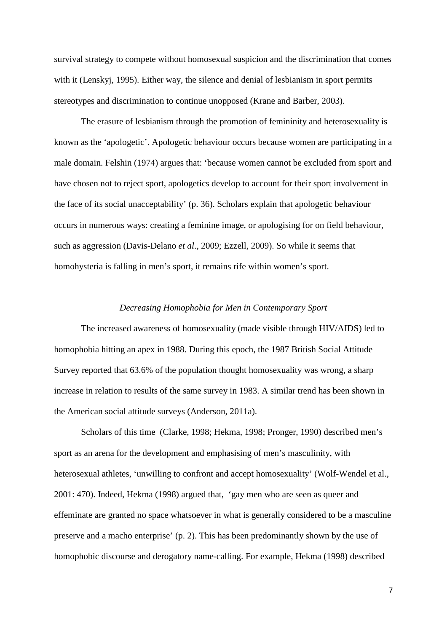survival strategy to compete without homosexual suspicion and the discrimination that comes with it (Lenskyj, 1995). Either way, the silence and denial of lesbianism in sport permits stereotypes and discrimination to continue unopposed (Krane and Barber, 2003).

The erasure of lesbianism through the promotion of femininity and heterosexuality is known as the 'apologetic'. Apologetic behaviour occurs because women are participating in a male domain. Felshin (1974) argues that: 'because women cannot be excluded from sport and have chosen not to reject sport, apologetics develop to account for their sport involvement in the face of its social unacceptability' (p. 36). Scholars explain that apologetic behaviour occurs in numerous ways: creating a feminine image, or apologising for on field behaviour, such as aggression (Davis-Delano *et al*., 2009; Ezzell, 2009). So while it seems that homohysteria is falling in men's sport, it remains rife within women's sport.

### *Decreasing Homophobia for Men in Contemporary Sport*

The increased awareness of homosexuality (made visible through HIV/AIDS) led to homophobia hitting an apex in 1988. During this epoch, the 1987 British Social Attitude Survey reported that 63.6% of the population thought homosexuality was wrong, a sharp increase in relation to results of the same survey in 1983. A similar trend has been shown in the American social attitude surveys (Anderson, 2011a).

Scholars of this time (Clarke, 1998; Hekma, 1998; Pronger, 1990) described men's sport as an arena for the development and emphasising of men's masculinity, with heterosexual athletes, 'unwilling to confront and accept homosexuality' (Wolf-Wendel et al., 2001: 470). Indeed, Hekma (1998) argued that, 'gay men who are seen as queer and effeminate are granted no space whatsoever in what is generally considered to be a masculine preserve and a macho enterprise' (p. 2). This has been predominantly shown by the use of homophobic discourse and derogatory name-calling. For example, Hekma (1998) described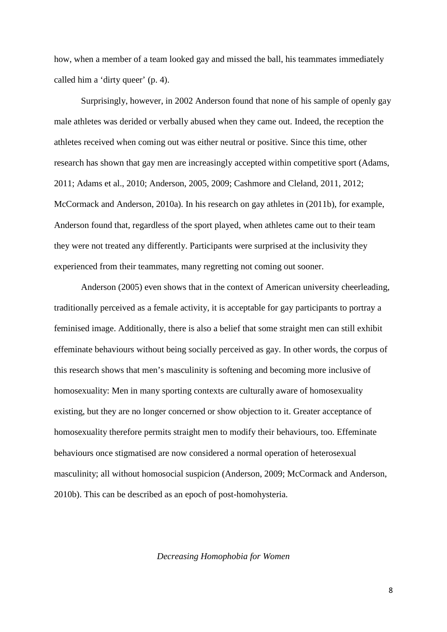how, when a member of a team looked gay and missed the ball, his teammates immediately called him a 'dirty queer' (p. 4).

Surprisingly, however, in 2002 Anderson found that none of his sample of openly gay male athletes was derided or verbally abused when they came out. Indeed, the reception the athletes received when coming out was either neutral or positive. Since this time, other research has shown that gay men are increasingly accepted within competitive sport (Adams, 2011; Adams et al., 2010; Anderson, 2005, 2009; Cashmore and Cleland, 2011, 2012; McCormack and Anderson, 2010a). In his research on gay athletes in (2011b), for example, Anderson found that, regardless of the sport played, when athletes came out to their team they were not treated any differently. Participants were surprised at the inclusivity they experienced from their teammates, many regretting not coming out sooner.

Anderson (2005) even shows that in the context of American university cheerleading, traditionally perceived as a female activity, it is acceptable for gay participants to portray a feminised image. Additionally, there is also a belief that some straight men can still exhibit effeminate behaviours without being socially perceived as gay. In other words, the corpus of this research shows that men's masculinity is softening and becoming more inclusive of homosexuality: Men in many sporting contexts are culturally aware of homosexuality existing, but they are no longer concerned or show objection to it. Greater acceptance of homosexuality therefore permits straight men to modify their behaviours, too. Effeminate behaviours once stigmatised are now considered a normal operation of heterosexual masculinity; all without homosocial suspicion (Anderson, 2009; McCormack and Anderson, 2010b). This can be described as an epoch of post-homohysteria.

*Decreasing Homophobia for Women*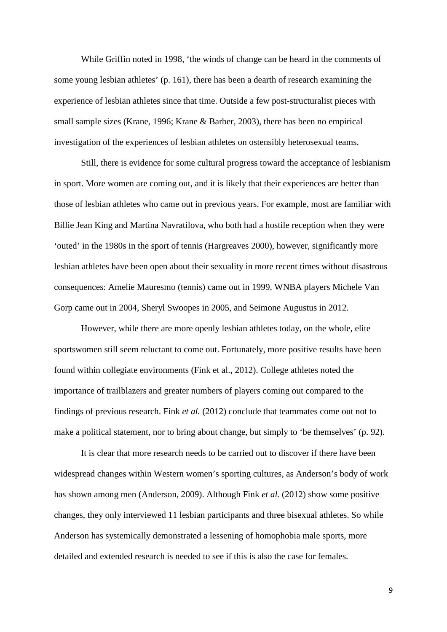While Griffin noted in 1998, 'the winds of change can be heard in the comments of some young lesbian athletes' (p. 161), there has been a dearth of research examining the experience of lesbian athletes since that time. Outside a few post-structuralist pieces with small sample sizes (Krane, 1996; Krane & Barber, 2003), there has been no empirical investigation of the experiences of lesbian athletes on ostensibly heterosexual teams.

Still, there is evidence for some cultural progress toward the acceptance of lesbianism in sport. More women are coming out, and it is likely that their experiences are better than those of lesbian athletes who came out in previous years. For example, most are familiar with Billie Jean King and Martina Navratilova, who both had a hostile reception when they were 'outed' in the 1980s in the sport of tennis (Hargreaves 2000), however, significantly more lesbian athletes have been open about their sexuality in more recent times without disastrous consequences: Amelie Mauresmo (tennis) came out in 1999, WNBA players Michele Van Gorp came out in 2004, Sheryl Swoopes in 2005, and Seimone Augustus in 2012.

However, while there are more openly lesbian athletes today, on the whole, elite sportswomen still seem reluctant to come out. Fortunately, more positive results have been found within collegiate environments (Fink et al., 2012). College athletes noted the importance of trailblazers and greater numbers of players coming out compared to the findings of previous research. Fink *et al.* (2012) conclude that teammates come out not to make a political statement, nor to bring about change, but simply to 'be themselves' (p. 92).

It is clear that more research needs to be carried out to discover if there have been widespread changes within Western women's sporting cultures, as Anderson's body of work has shown among men (Anderson, 2009). Although Fink *et al.* (2012) show some positive changes, they only interviewed 11 lesbian participants and three bisexual athletes. So while Anderson has systemically demonstrated a lessening of homophobia male sports, more detailed and extended research is needed to see if this is also the case for females.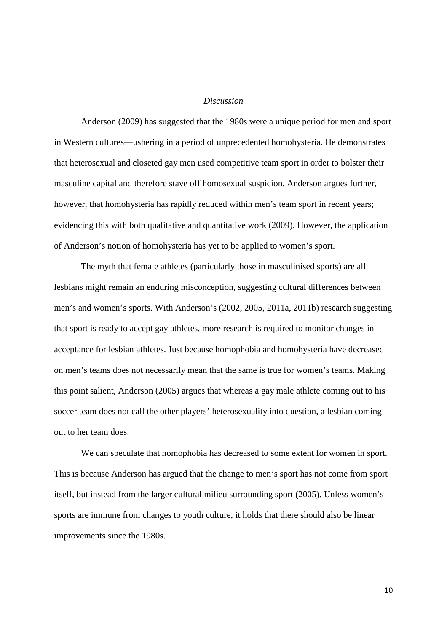#### *Discussion*

Anderson (2009) has suggested that the 1980s were a unique period for men and sport in Western cultures—ushering in a period of unprecedented homohysteria. He demonstrates that heterosexual and closeted gay men used competitive team sport in order to bolster their masculine capital and therefore stave off homosexual suspicion. Anderson argues further, however, that homohysteria has rapidly reduced within men's team sport in recent years; evidencing this with both qualitative and quantitative work (2009). However, the application of Anderson's notion of homohysteria has yet to be applied to women's sport.

The myth that female athletes (particularly those in masculinised sports) are all lesbians might remain an enduring misconception, suggesting cultural differences between men's and women's sports. With Anderson's (2002, 2005, 2011a, 2011b) research suggesting that sport is ready to accept gay athletes, more research is required to monitor changes in acceptance for lesbian athletes. Just because homophobia and homohysteria have decreased on men's teams does not necessarily mean that the same is true for women's teams. Making this point salient, Anderson (2005) argues that whereas a gay male athlete coming out to his soccer team does not call the other players' heterosexuality into question, a lesbian coming out to her team does.

We can speculate that homophobia has decreased to some extent for women in sport. This is because Anderson has argued that the change to men's sport has not come from sport itself, but instead from the larger cultural milieu surrounding sport (2005). Unless women's sports are immune from changes to youth culture, it holds that there should also be linear improvements since the 1980s.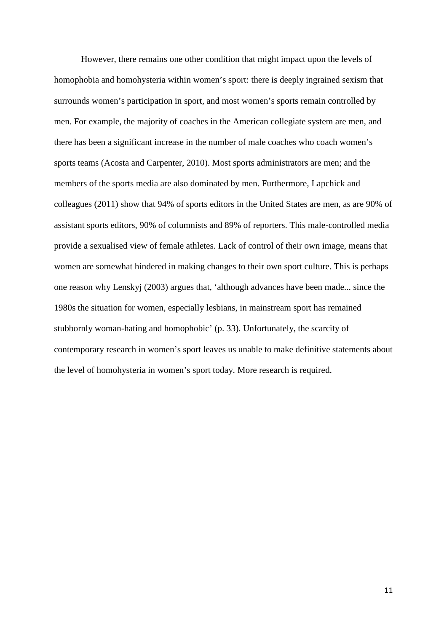However, there remains one other condition that might impact upon the levels of homophobia and homohysteria within women's sport: there is deeply ingrained sexism that surrounds women's participation in sport, and most women's sports remain controlled by men. For example, the majority of coaches in the American collegiate system are men, and there has been a significant increase in the number of male coaches who coach women's sports teams (Acosta and Carpenter, 2010). Most sports administrators are men; and the members of the sports media are also dominated by men. Furthermore, Lapchick and colleagues (2011) show that 94% of sports editors in the United States are men, as are 90% of assistant sports editors, 90% of columnists and 89% of reporters. This male-controlled media provide a sexualised view of female athletes. Lack of control of their own image, means that women are somewhat hindered in making changes to their own sport culture. This is perhaps one reason why Lenskyj (2003) argues that, 'although advances have been made... since the 1980s the situation for women, especially lesbians, in mainstream sport has remained stubbornly woman-hating and homophobic' (p. 33). Unfortunately, the scarcity of contemporary research in women's sport leaves us unable to make definitive statements about the level of homohysteria in women's sport today. More research is required.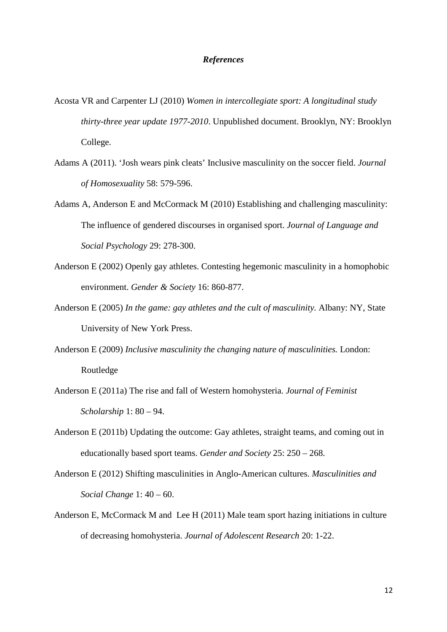### *References*

- Acosta VR and Carpenter LJ (2010) *Women in intercollegiate sport: A longitudinal study thirty-three year update 1977-2010*. Unpublished document. Brooklyn, NY: Brooklyn College.
- Adams A (2011). 'Josh wears pink cleats' Inclusive masculinity on the soccer field. *Journal of Homosexuality* 58: 579-596.
- Adams A, Anderson E and McCormack M (2010) Establishing and challenging masculinity: The influence of gendered discourses in organised sport. *Journal of Language and Social Psychology* 29: 278-300.
- Anderson E (2002) Openly gay athletes. Contesting hegemonic masculinity in a homophobic environment. *Gender & Society* 16: 860-877.
- Anderson E (2005) *In the game: gay athletes and the cult of masculinity.* Albany: NY, State University of New York Press.
- Anderson E (2009) *Inclusive masculinity the changing nature of masculinities.* London: Routledge
- Anderson E (2011a) The rise and fall of Western homohysteria. *Journal of Feminist Scholarship* 1: 80 – 94.
- Anderson E (2011b) Updating the outcome: Gay athletes, straight teams, and coming out in educationally based sport teams. *Gender and Society* 25: 250 – 268.
- Anderson E (2012) Shifting masculinities in Anglo-American cultures. *Masculinities and Social Change* 1: 40 – 60.
- Anderson E, McCormack M and Lee H (2011) Male team sport hazing initiations in culture of decreasing homohysteria. *Journal of Adolescent Research* 20: 1-22.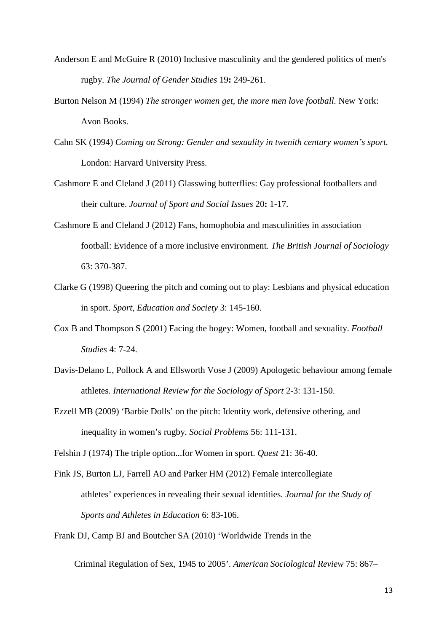- Anderson E and McGuire R (2010) Inclusive masculinity and the gendered politics of men's rugby. *The Journal of Gender Studies* 19**:** 249-261.
- Burton Nelson M (1994) *The stronger women get, the more men love football.* New York: Avon Books.
- Cahn SK (1994) *Coming on Strong: Gender and sexuality in twenith century women's sport.*  London: Harvard University Press.
- Cashmore E and Cleland J (2011) Glasswing butterflies: Gay professional footballers and their culture. *Journal of Sport and Social Issues* 20**:** 1-17.
- Cashmore E and Cleland J (2012) Fans, homophobia and masculinities in association football: Evidence of a more inclusive environment. *The British Journal of Sociology* 63: 370-387.
- Clarke G (1998) Queering the pitch and coming out to play: Lesbians and physical education in sport. *Sport, Education and Society* 3: 145-160.
- Cox B and Thompson S (2001) Facing the bogey: Women, football and sexuality. *Football Studies* 4: 7-24.
- Davis-Delano L, Pollock A and Ellsworth Vose J (2009) Apologetic behaviour among female athletes. *International Review for the Sociology of Sport* 2-3: 131-150.
- Ezzell MB (2009) 'Barbie Dolls' on the pitch: Identity work, defensive othering, and inequality in women's rugby. *Social Problems* 56: 111-131.
- Felshin J (1974) The triple option...for Women in sport. *Quest* 21: 36-40.
- Fink JS, Burton LJ, Farrell AO and Parker HM (2012) Female intercollegiate athletes' experiences in revealing their sexual identities. *Journal for the Study of Sports and Athletes in Education* 6: 83-106.
- Frank DJ, Camp BJ and Boutcher SA (2010) 'Worldwide Trends in the

Criminal Regulation of Sex, 1945 to 2005'. *American Sociological Review* 75: 867–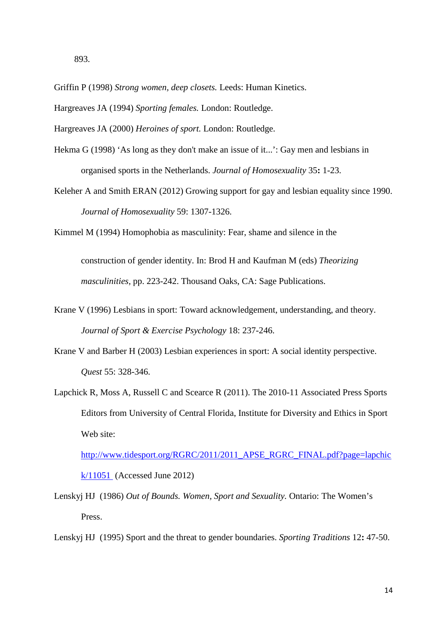893.

- Griffin P (1998) *Strong women, deep closets.* Leeds: Human Kinetics.
- Hargreaves JA (1994) *Sporting females.* London: Routledge.
- Hargreaves JA (2000) *Heroines of sport.* London: Routledge.
- Hekma G (1998) 'As long as they don't make an issue of it...': Gay men and lesbians in organised sports in the Netherlands. *Journal of Homosexuality* 35**:** 1-23.
- Keleher A and Smith ERAN (2012) Growing support for gay and lesbian equality since 1990. *Journal of Homosexuality* 59: 1307-1326.

Kimmel M (1994) Homophobia as masculinity: Fear, shame and silence in the

construction of gender identity. In: Brod H and Kaufman M (eds) *Theorizing masculinities,* pp. 223-242. Thousand Oaks, CA: Sage Publications.

- Krane V (1996) Lesbians in sport: Toward acknowledgement, understanding, and theory. *Journal of Sport & Exercise Psychology* 18: 237-246.
- Krane V and Barber H (2003) Lesbian experiences in sport: A social identity perspective. *Quest* 55: 328-346.
- Lapchick R, Moss A, Russell C and Scearce R (2011). The 2010-11 Associated Press Sports Editors from University of Central Florida, Institute for Diversity and Ethics in Sport Web site:

[http://www.tidesport.org/RGRC/2011/2011\\_APSE\\_RGRC\\_FINAL.pdf?page=lapchic](http://www.tidesport.org/RGRC/2011/2011_APSE_RGRC_FINAL.pdf?page=lapchick/11051)

[k/11051](http://www.tidesport.org/RGRC/2011/2011_APSE_RGRC_FINAL.pdf?page=lapchick/11051) (Accessed June 2012)

- Lenskyj HJ (1986) *Out of Bounds. Women, Sport and Sexuality.* Ontario: The Women's Press.
- Lenskyj HJ (1995) Sport and the threat to gender boundaries. *Sporting Traditions* 12**:** 47-50.